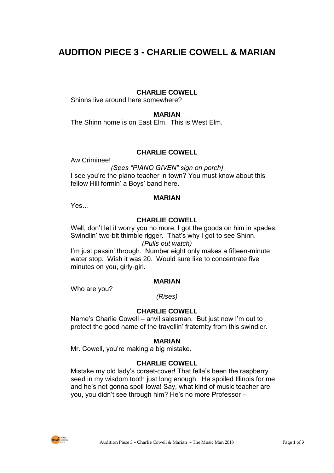# **AUDITION PIECE 3 - CHARLIE COWELL & MARIAN**

#### **CHARLIE COWELL**

Shinns live around here somewhere?

#### **MARIAN**

The Shinn home is on East Elm. This is West Elm.

# **CHARLIE COWELL**

Aw Criminee!

*(Sees "PIANO GIVEN" sign on porch)* I see you're the piano teacher in town? You must know about this fellow Hill formin' a Boys' band here.

#### **MARIAN**

Yes…

## **CHARLIE COWELL**

Well, don't let it worry you no more, I got the goods on him in spades. Swindlin' two-bit thimble rigger. That's why I got to see Shinn. *(Pulls out watch)*

I'm just passin' through. Number eight only makes a fifteen-minute water stop. Wish it was 20. Would sure like to concentrate five minutes on you, girly-girl.

#### **MARIAN**

Who are you?

*(Rises)*

## **CHARLIE COWELL**

Name's Charlie Cowell – anvil salesman. But just now I'm out to protect the good name of the travellin' fraternity from this swindler.

#### **MARIAN**

Mr. Cowell, you're making a big mistake.

#### **CHARLIE COWELL**

Mistake my old lady's corset-cover! That fella's been the raspberry seed in my wisdom tooth just long enough. He spoiled Illinois for me and he's not gonna spoil Iowa! Say, what kind of music teacher are you, you didn't see through him? He's no more Professor –

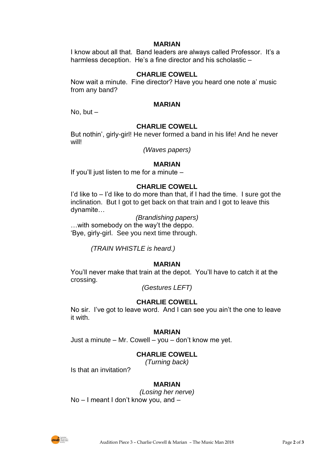#### **MARIAN**

I know about all that. Band leaders are always called Professor. It's a harmless deception. He's a fine director and his scholastic -

## **CHARLIE COWELL**

Now wait a minute. Fine director? Have you heard one note a' music from any band?

#### **MARIAN**

No, but  $-$ 

#### **CHARLIE COWELL**

But nothin', girly-girl! He never formed a band in his life! And he never will!

*(Waves papers)*

#### **MARIAN**

If you'll just listen to me for a minute –

#### **CHARLIE COWELL**

I'd like to – I'd like to do more than that, if I had the time. I sure got the inclination. But I got to get back on that train and I got to leave this dynamite…

*(Brandishing papers)*

…with somebody on the way't the deppo. 'Bye, girly-girl. See you next time through.

*(TRAIN WHISTLE is heard.)*

## **MARIAN**

You'll never make that train at the depot. You'll have to catch it at the crossing.

*(Gestures LEFT)*

## **CHARLIE COWELL**

No sir. I've got to leave word. And I can see you ain't the one to leave it with.

#### **MARIAN**

Just a minute – Mr. Cowell – you – don't know me yet.

# **CHARLIE COWELL**

*(Turning back)*

Is that an invitation?

# **MARIAN**

*(Losing her nerve)*

No – I meant I don't know you, and –